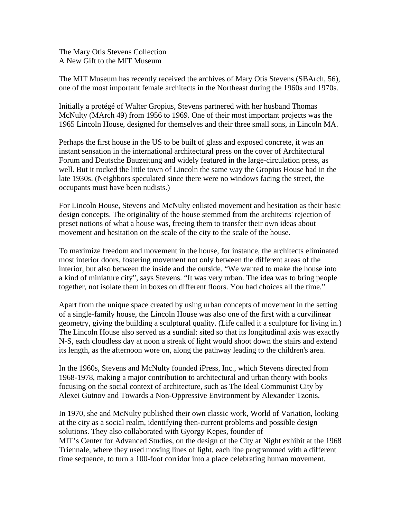The Mary Otis Stevens Collection A New Gift to the MIT Museum

The MIT Museum has recently received the archives of Mary Otis Stevens (SBArch, 56), one of the most important female architects in the Northeast during the 1960s and 1970s.

Initially a protégé of Walter Gropius, Stevens partnered with her husband Thomas McNulty (MArch 49) from 1956 to 1969. One of their most important projects was the 1965 Lincoln House, designed for themselves and their three small sons, in Lincoln MA.

Perhaps the first house in the US to be built of glass and exposed concrete, it was an instant sensation in the international architectural press on the cover of Architectural Forum and Deutsche Bauzeitung and widely featured in the large-circulation press, as well. But it rocked the little town of Lincoln the same way the Gropius House had in the late 1930s. (Neighbors speculated since there were no windows facing the street, the occupants must have been nudists.)

For Lincoln House, Stevens and McNulty enlisted movement and hesitation as their basic design concepts. The originality of the house stemmed from the architects' rejection of preset notions of what a house was, freeing them to transfer their own ideas about movement and hesitation on the scale of the city to the scale of the house.

To maximize freedom and movement in the house, for instance, the architects eliminated most interior doors, fostering movement not only between the different areas of the interior, but also between the inside and the outside. "We wanted to make the house into a kind of miniature city", says Stevens. "It was very urban. The idea was to bring people together, not isolate them in boxes on different floors. You had choices all the time."

Apart from the unique space created by using urban concepts of movement in the setting of a single-family house, the Lincoln House was also one of the first with a curvilinear geometry, giving the building a sculptural quality. (Life called it a sculpture for living in.) The Lincoln House also served as a sundial: sited so that its longitudinal axis was exactly N-S, each cloudless day at noon a streak of light would shoot down the stairs and extend its length, as the afternoon wore on, along the pathway leading to the children's area.

In the 1960s, Stevens and McNulty founded iPress, Inc., which Stevens directed from 1968-1978, making a major contribution to architectural and urban theory with books focusing on the social context of architecture, such as The Ideal Communist City by Alexei Gutnov and Towards a Non-Oppressive Environment by Alexander Tzonis.

In 1970, she and McNulty published their own classic work, World of Variation, looking at the city as a social realm, identifying then-current problems and possible design solutions. They also collaborated with Gyorgy Kepes, founder of MIT's Center for Advanced Studies, on the design of the City at Night exhibit at the 1968 Triennale, where they used moving lines of light, each line programmed with a different time sequence, to turn a 100-foot corridor into a place celebrating human movement.